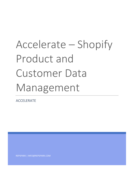# Accelerate – Shopify Product and Customer Data Management

ACCELERATE

REPSPARK | INFO@REPSPARK.COM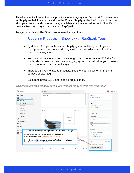This document will cover the best practices for managing your Product & Customer data in Shopify so that it can be sync'd into RepSpark. Shopify will be the "source of truth" for all of your product and customer data, so all data manipulation will occur in Shopify before attempting to sync that data into RepSpark.

To sync your data to RepSpark, we require the use of tags.

#### Updating Products in Shopify with RepSpark Tags

- By default, ALL products in your Shopify system will be sync'd to your RepSpark site if you do not add Tags to let us know which ones to add and which ones to ignore.
- You may not want every item, or entire groups of items on your B2B site for wholesale purposes, so we have a tagging system that will allow you to select which products to omit from the sync
- There are 3 Tags related to products. See the chart below for format and purpose of each tag.

|    | RepSpark                              |                                  | Q Search              |                                                                                                                |       |                                                                      |                      |              |                                                                                                     |               | <b>BM</b> Bobby Morgan |
|----|---------------------------------------|----------------------------------|-----------------------|----------------------------------------------------------------------------------------------------------------|-------|----------------------------------------------------------------------|----------------------|--------------|-----------------------------------------------------------------------------------------------------|---------------|------------------------|
| Ŀ. | Home<br>Orders                        | $\overline{2}$                   | <b>Blue Knit Belt</b> |                                                                                                                |       |                                                                      |                      |              | Online Store<br>Schedule availability                                                               |               |                        |
|    | Products<br>Inventory<br>Transfers    | All products                     |                       |                                                                                                                |       |                                                                      |                      |              | Insights<br>Insights will display when the product has<br>had recent sales                          |               |                        |
|    | Gift cards                            | Collections                      | <b>Media</b>          |                                                                                                                |       |                                                                      | Add media from URL ▼ |              | Organization                                                                                        |               |                        |
| ٠H | Customers<br>Analytics                |                                  |                       |                                                                                                                |       | Add media<br>or drop files to<br>upload                              |                      |              | Product type<br>Accessories                                                                         |               | ÷                      |
| H  | Marketing<br><b>Discounts</b><br>Apps |                                  |                       |                                                                                                                |       |                                                                      |                      |              | Vendor<br>RepSpark                                                                                  |               | ÷                      |
|    | <b>SALES CHAND</b>                    |                                  |                       |                                                                                                                |       | Add WholesalePrice tag in the Tags section of the Product edit page. |                      |              | <b>COLLECTIONS</b>                                                                                  |               |                        |
| 雷  | Onlin                                 |                                  |                       | Do not include the \$ sign in the tag for WholesalePrice<br>in this example the Tag is "WholesalePrice: 17.50" |       |                                                                      |                      |              | Q Search for collections<br>Add this product to a collection so it's<br>easy to find in your store. |               |                        |
|    |                                       | tag with the label "repspark_no" |                       | If you do not want the product to appear on RepSpark you will add a                                            |       |                                                                      |                      | More options | <b>TAGS</b><br>Vintage, cotton, summer                                                              | View all tags |                        |
|    |                                       |                                  |                       | Size                                                                                                           | Price |                                                                      | Quantity             | Incominc     | WholesalePrice:17.50 X                                                                              |               |                        |
|    |                                       |                                  |                       | $\overline{\phantom{a}}$                                                                                       |       |                                                                      |                      |              |                                                                                                     |               |                        |

*This image shows a properly configured Product ready to sync into RepSpark*

• Be sure to press SAVE after adding product tags.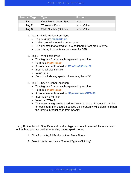| <b>Product Tags</b> | <b>Tvpe</b>                    | <b>Format</b> |
|---------------------|--------------------------------|---------------|
| Tag 1               | <b>Omit Product from Sync</b>  | Input         |
| Tag 2               | <b>Wholesale Price</b>         | Input: Value  |
| Tag 3               | <b>Style Number (Optional)</b> | Input: Value  |

- 1. Tag 1 Omit Product from Sync
	- Tag is simply *repspark\_no*
	- Make sure to include the underscore
	- This denotes that a product is to be ignored from product sync
	- Use this tag to hide items not meant for B2B
- 2. Tag 2 Wholesale Price
	- This tag has 2 parts, each separated by a colon:
	- Format is *Input:Value*
	- A proper example would be *WholesalePrice:12*
	- Input is WholesalePrice
	- Value is 12
	- Do not include any special characters, like a "\$"
- 3. Tag 3 Style Number (optional)
	- This tag has 2 parts, each separated by a colon:
	- Format is *Input:Value*
	- A proper example would be *StyleNumber:BW1400*
	- Input is StyleNumber
	- Value is BW1400
	- This optional tag can be used to show your actual Product ID number for each item. If this tag is not used the RepSpark will default to import the internal product code from Shopify.

Using Bulk Actions in Shopify to add product tags can be a timesaver! Here's a quick look at how you can do that for adding the repspark\_no tag

- 1. Click Products, All Products, then More Filters
- 2. Select criteria, such as a "Product Type = Clothing"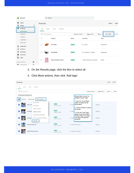|              | RepSpark                                   |                 | Q Search                    |                  |                                  |                                                 |
|--------------|--------------------------------------------|-----------------|-----------------------------|------------------|----------------------------------|-------------------------------------------------|
| n<br>凹       | Home<br>$\overline{2}$<br><b>Orders</b>    | <b>Products</b> |                             |                  |                                  | Export<br>Import                                |
|              | <b>Products</b>                            | All             | Draft<br>Archived<br>Active |                  |                                  |                                                 |
|              | All products                               |                 |                             |                  |                                  | More filters                                    |
|              | Inventory<br>Transfers                     |                 | Q Filter products           | Product vendor = | Tagged with $\blacktriangledown$ | $\frac{1}{2}$ Sa<br>Status $\blacktriangledown$ |
|              | Collections                                | L.              | Product                     | <b>Status</b>    | Inventory                        | Type                                            |
|              | Gift cards                                 |                 | <b>Face Mask</b>            | Active           | 0 in stock                       | Accessories                                     |
|              | <b>Customers</b>                           |                 |                             |                  |                                  |                                                 |
| ыl<br>₹<br>Ø | Analytics<br>Marketing<br><b>Discounts</b> |                 | <b>Knitted Belt</b>         | Active           | 75 in stock for 7 variants       | Accessories                                     |
| H.           | Apps<br>$\circ$<br><b>SALES CHANNELS</b>   |                 | Player Fit Woven Short      | Active           | 1,104 in stock for 45 variants   | Shorts                                          |
|              | $\Omega$<br>Online Store                   |                 |                             |                  |                                  |                                                 |

- 3. On the Results page, click the Box to select all
- 4. Click More actions, then click 'Add tags'

| <b>Products</b>                                          |                             |                                                                     |                            |            |                                                                                                             |                       |          |                                  | Export        | Import |
|----------------------------------------------------------|-----------------------------|---------------------------------------------------------------------|----------------------------|------------|-------------------------------------------------------------------------------------------------------------|-----------------------|----------|----------------------------------|---------------|--------|
| Active<br>All                                            | Draft                       | Archived                                                            |                            |            |                                                                                                             |                       |          |                                  |               |        |
| Q Filter products                                        |                             |                                                                     |                            |            |                                                                                                             | Product vendor $\sim$ |          | Tagged with $\blacktriangledown$ | Status $\sim$ | More 1 |
| Product type is Clothing X<br>9 selected<br>$\checkmark$ | Edit products               | More actions $\sqrt{*}$                                             |                            |            | Enable Bulk Actions for<br>adding Product Tags<br>1. Use the "more filters"                                 |                       |          |                                  |               |        |
|                                                          | Ashes to A                  | Set as active<br>Set as draft                                       | Active<br>0 sales channels |            | option to select some<br>0 in stock parameters<br>2. Check the Box to select                                |                       |          | Clothing                         |               |        |
|                                                          | <b>Cutthroat (</b>          | Archive products<br>Delete products                                 | Active<br>0 sales channels | 0 in stock | all results<br>3. Click the "Add Tags"                                                                      |                       |          | Clothing                         |               |        |
|                                                          | <b>Dancing Ca</b>           | Add available channel(s)<br>Remove available channel(s)<br>Add tags | Active<br>0 sales channels |            | option to pull up a list of<br>existing Tags or to add a<br>0 in stock new tag to all selected<br>products. |                       | Clothing |                                  |               |        |
|                                                          | <b>Fish Print Solar Top</b> |                                                                     | Active<br>0 sales channels |            | 0 in stock for 5 variants                                                                                   |                       |          | Clothing                         |               |        |
|                                                          |                             | <b>Golden Trout Solar Top</b>                                       | Active<br>0 sales channels |            | 0 in stock for 5 variants                                                                                   |                       |          | Clothing                         |               |        |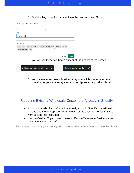5. Find the Tag in the list, or type it into the box and press Save

| Add tags to 5 product(s)                                          |                                        | ×                                 |                                                                    |
|-------------------------------------------------------------------|----------------------------------------|-----------------------------------|--------------------------------------------------------------------|
| Use descriptive keywords to help organize products.               |                                        |                                   |                                                                    |
| Tag<br>repspark_no                                                |                                        |                                   |                                                                    |
| <b>EXISTING TAGS</b><br>Terms:Net 30<br>another tag<br><b>RSK</b> | WholesalePrice:17.50 WholesalePrice:38 |                                   |                                                                    |
| WholesalePrice:7<br>yes                                           |                                        | Cancel<br>Save                    |                                                                    |
|                                                                   |                                        |                                   | 6. You will see these two boxes appear at the bottom of the screen |
| Adding one tag to product(s) $\times$                             |                                        | Tag(s) added to products $\times$ |                                                                    |

7. You have now successfully added a tag to multiple products at once. **Use this to your advantage as you configure your product data!**

## Updating Existing Wholesale Customers Already in Shopify

- If your wholesale client information already exists in Shopify, you will just need to add the appropriate TAGS to each of the account profiles that you want to sync into RepSpark.
- Use the Custom Tags covered below to Denote Wholesale Customers and key customer account info.

*This image shows a properly configured Customer Record ready to sync into RepSpark*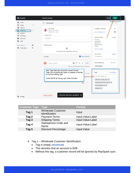#### ACCELERATE BY REPSPARK

| <b>G</b> shopify                                                   | <b>Unsaved changes</b>                                                                                                                                                                    | <b>Discard</b><br>Save                                                                                     |
|--------------------------------------------------------------------|-------------------------------------------------------------------------------------------------------------------------------------------------------------------------------------------|------------------------------------------------------------------------------------------------------------|
| Home<br>Ŀ.<br>Orders<br>$\mathbf{1}$                               | <b>Jim Jones</b><br>$\leftarrow$                                                                                                                                                          | $\,$<br>K                                                                                                  |
| Products<br><b>Customers</b><br>۵IJ<br>Analytics                   | <b>Jim Jones</b><br>Ottawa, ON, Canada<br>Customer for 3 days                                                                                                                             | <b>Customer overview</b><br>Edit<br>П<br>jjones123@gmail.com                                               |
| Marketing<br>Discounts<br>$\mathbb{R}^*$<br>Apps                   | <b>Customer Note</b><br>Add a note                                                                                                                                                        | <b>DEFAULT ADDRESS</b><br>Manage<br>Jim Jones<br>Jones Sports                                              |
| $\bullet$<br><b>SALES CHANNELS</b><br>$\odot$<br>Online Store<br>Ħ | Orders placed<br>凹<br>This customer hasn't placed any orders yet                                                                                                                          | 100 Main St<br>Ottawa Ontario<br>Canada<br>Add new address                                                 |
|                                                                    | $\vert \vee \vert$<br>Show comments<br><b>Timeline</b>                                                                                                                                    | <b>TAX SETTINGS</b><br>Manage<br>No exemptions                                                             |
|                                                                    | $\bigodot$<br>$\circledcirc$ # $\circledcirc$<br><b>BM</b><br>Post<br>Leave a comment<br>Only you and other staff can see comments                                                        | <b>Email Marketing</b><br>Edit status<br>Not subscribed                                                    |
|                                                                    | Add Tags Manually using the correct format.<br>Tags you've previously used will appear in the list<br>4:09 PM<br>for quicker editing later.<br>Press SAVE at the top right when finished. | View all tags<br><b>Tags</b><br>VIP, sale, shopper, etc.                                                   |
|                                                                    | νz                                                                                                                                                                                        | SalesRep:111:Larry Lewis X<br>Shipping:Fedex:FedEx Express X<br>Terms:Net30:Net 30 X<br>wholesale $\times$ |
| Settings<br>≖                                                      | Customer has been updated $\chi$<br>Delete customer                                                                                                                                       |                                                                                                            |

| <b>Customer Tags Type</b> |                                             | <b>Format</b>       |
|---------------------------|---------------------------------------------|---------------------|
| Tag 1                     | <b>Wholesale Customer</b><br>Identification | Input               |
| Tag 2                     | <b>Payment Terms</b>                        | Input: Value: Label |
| Tag 3                     | <b>Shipping Terms</b>                       | Input: Value: Label |
| Tag 4                     | Salesperson Code and<br>Name                | Input: Value: Label |
| Tag 5                     | <b>Discount Percentage</b>                  | Input: Value        |

- 4. Tag 1 Wholesale Customer Identification
	- Tag is simply *wholesale*
	- This denotes that an account is B2B
	- Without this tag, a customer record will be ignored by RepSpark sync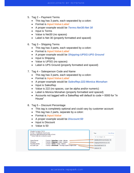- 5. Tag 2 Payment Terms
	- This tag has 3 parts, each separated by a colon:
	- Format is *Input:Value:Label*
	- A proper example would be *Terms:Net30:Net 30*
	- Input is Terms
	- Value is Net30 (no spaces)
	- Label is Net 30 (properly formatted and spaced)
- 6. Tag 3 Shipping Terms
	- This tag has 3 parts, each separated by a colon:
	- Format is *Input:Value:Label*
	- A proper example would be *Shipping:UPSG:UPS Ground*
	- Input is Shipping
	- Value is UPSG (no spaces)
	- Label is UPS Ground (properly formatted and spaced)
- 7. Tag 4 Salesperson Code and Name
	- This tag has 3 parts, each separated by a colon:
	- Format is *Input:Value:Label*
	- A proper example would be *SalesRep:222:Monica Monahan*
	- Input is SalesRep
	- Value is 222 (no spaces, can be alpha and/or numeric)
	- Label is Monica Monahan (properly formatted and spaced)
	- Accounts not tagged with a SalesRep will default to code = 0000 for "In House"
- 8. Tag 5 Discount Percentage
	- This tag is completely optional and could vary by customer account
	- This tag has 2 parts, separate by a colon:
	- Format is *Input:Value*
	- A proper example would be *Discount:50*
	- Input is Discount
	- Value is 50

| Shopify Customer TAGS<br>Format = FieldName:Value:Label<br>be sure to separate each part with a Colon: |        |                                                                               |  | Tags                          | View all tags |
|--------------------------------------------------------------------------------------------------------|--------|-------------------------------------------------------------------------------|--|-------------------------------|---------------|
| ** Some fields do not need a Label                                                                     |        |                                                                               |  | VIP, sale, shopper, etc.      |               |
| Sales Person                                                                                           |        | Format = SalesRep: <code>:<name></name></code>                                |  | SalesRep:222:Monica Monahan X |               |
| Shipping<br>Payment Terms -                                                                            | $\sim$ | Format = Shipping: < code>: < Name><br>Format = Terms: < code>: <name></name> |  | Shipping:UPSG:UPS Ground X    |               |
| <b>Account Type</b>                                                                                    |        | Format = Wholesale **this tag is just a single value                          |  | Terms:Net45:Net 45 $\times$   |               |
|                                                                                                        |        |                                                                               |  | wholesale $\times$            |               |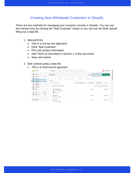### Creating New Wholesale Customers in Shopify

There are two methods for managing your customer records in Shopify. You can use the manual entry by clicking the "Add Customer" button or you can use the Bulk Upload filling out a data file

- 1. Manual Entry
	- This is a one-by-one approach.
	- Click "Add Customer"
	- Fill in all contact information
	- Add TAGS as described in Section 1 of this document
	- Save and repeat.
- 2. Bulk Upload using a data file
	- This is a multi-record approach.

|        | RepSpark                                                              | Q Search                                                                   | <b>BM</b><br>Bobby Morgan                                                      |
|--------|-----------------------------------------------------------------------|----------------------------------------------------------------------------|--------------------------------------------------------------------------------|
| A<br>凹 | Home<br>$\begin{array}{ c } \hline 1 \\ \hline \end{array}$<br>Orders | <b>Customers</b>                                                           | <b>Add customer</b><br><b>Import customers</b><br>Export                       |
|        | Products                                                              | All<br><b>Email subscribers</b><br>New<br>Returning<br>Abandoned checkouts | <b>From United States</b>                                                      |
| ыl     | <b>Customers</b><br>Analytics                                         | Q Filter customers<br>Email subscription status =                          | <b>More filters</b><br>$\Rightarrow$ Saved<br>Tagged with $\blacktriangledown$ |
| ₹<br>ø | Marketing<br><b>Discounts</b>                                         | Showing 15 of 15 customers                                                 | Sort by Last update (newest first) $\Leftrightarrow$                           |
| 詰.     | Apps                                                                  | <b>George Washington</b><br>Alexandria, United States                      | \$0.00 spent<br>0 orders                                                       |
|        | $\circ$<br><b>SALES CHANNELS</b>                                      | <b>B</b> Good Credit                                                       |                                                                                |
| 雷      | $\odot$<br>Online Store                                               | Abe Lincoln<br>Ottawa, ON, Canada                                          | 0 orders<br>\$0.00 spent                                                       |
| ☆      | Settings                                                              | <b>Beth Brown</b><br>Boston, United States                                 | 0 orders<br>\$0.00 spent<br>$\overline{\mathbf{v}}$                            |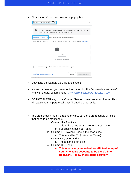• Click Import Customers to open a popup box

| Import customers by CSV                                                                                                              |
|--------------------------------------------------------------------------------------------------------------------------------------|
| A<br>Your last customer import finished on December 11, 2020 at 05:20 PM<br>2 were imported, 0 failed to import, and 0 were skipped. |
| Download a sample CSV to see an example of the required format                                                                       |
| Make sure that customers set to Accepts marketing have given you permission. Read more                                               |
| Add file<br>or drop files to upload                                                                                                  |
| Overwrite existing customers that have the same email or phone                                                                       |
| Need help importing customers?<br>Cancel<br>Import customers                                                                         |

- Download the Sample CSV file and save it
- It is recommended you rename it to something like "wholesale customers" and with a date, so it might be "*wholesale\_customers\_12.15.20.csv*"
- **DO NOT ALTER** any of the Column Names or remove any columns. This will cause your import to fail. Just fill out the sheet as is.
- The data sheet it mostly straight forward, but there are a couple of fields that need to be mentioned.
	- 1. Column H Province
		- a. This is the same as STATE for US customers
		- b. Full spelling, such as Texas
	- 2. Column I Province Code is the short code
		- a. This would be TX (instead of Texas)
	- 3. Columns N, O, P, and R
		- a. These can be left blank
	- 4. Column Q TAGS
		- **a. This one is very important for efficient setup of your wholesale accounts to be sync'd into RepSpark. Follow these steps carefully.**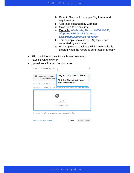- b. Refer to Section 1 for proper Tag format and requirements
- c. Add Tags separated by Commas.
- d. Make sure to be accurate!
- *e.* Example: *wholesale, Terms:Net30:Net 30, Shipping:UPSG:UPS Ground, SalesRep:222:Monica Monahan*
- f. This example contains Four (4) tags, each separated by a comma.
- g. When uploaded, each tag will be automatically created when the record is generated in Shopify
- Fill out additional rows for each new customer.
- Save file when finished.
- Upload Your File into the drop area

| Import customers by CSV                                                                                 |                                                                                                                                                                                   |
|---------------------------------------------------------------------------------------------------------|-----------------------------------------------------------------------------------------------------------------------------------------------------------------------------------|
| A<br>Your last customer impor<br>2 were imported, 0 failed to in<br>Download a sample CSV to see an exa | Drag and Drop the CSV file or,<br>Click Add File button to select<br>from local machine<br>Make sure that customers set to Accepts marketing have given you permission. Read more |
|                                                                                                         | Add file<br>or drop files to upload                                                                                                                                               |
| Overwrite existing customers that have the same email or phone                                          |                                                                                                                                                                                   |
| Need help importing customers?                                                                          | Cancel<br>Import customers                                                                                                                                                        |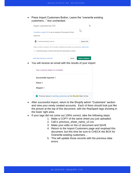• Press Import Customers Button, Leave the "overwrite existing customers..." box unchecked.



• You will receive an email with the results of your import

|   | Your customer import is complete.                                     |
|---|-----------------------------------------------------------------------|
|   | Successfully imported: 2                                              |
|   | Failed: 0                                                             |
|   | Skipped: 0                                                            |
| Ð | Find out about importing customers at the <b>Shopify</b> Help Center. |

- After successful import, return to the Shopify admin "Customers" section and view your newly created accounts. Each of them should look just like the picture at the top of this document, with the RepSpark tags showing in the lower right area.
- If your tags did not come out 100% correct, take the following steps:
	- 1. Make a COPY of the same sheet you just uploaded.
	- 2. Call it, previous\_sheet\_name\_v2.csv
	- 3. Make your edits on the v2 document and SAVE
	- 4. Return to the Import Customers page and reupload this document, but this time be sure to CHECK the BOX for Overwrite existing customers…
	- 5. This will update those records with the previous data errors